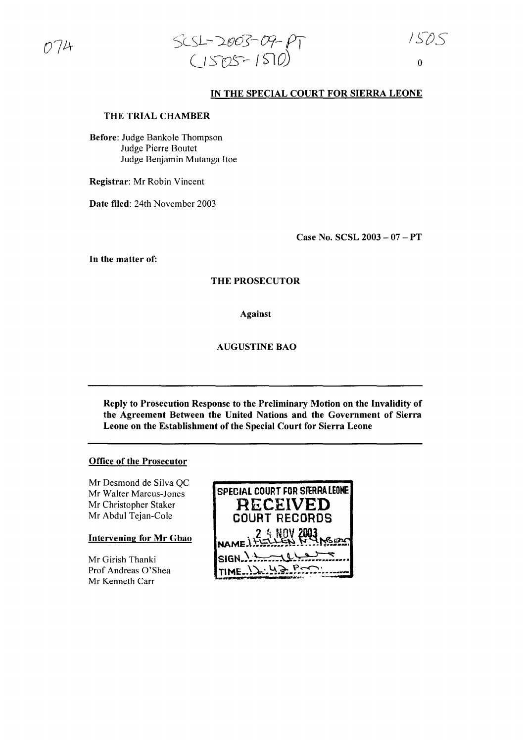

## IN THE SPECIAL COURT FOR SIERRA LEONE

## THE TRIAL CHAMBER

Before: Judge Bankole Thompson Judge Pierre Boutet Judge Benjamin Mutanga Hoe

Registrar: Mr Robin Vincent

Date filed: 24th November 2003

Case No. SCSL 2003 - 07 - PT

In the matter of:

## THE PROSECUTOR

Against

#### AUGUSTINE BAO

Reply to Prosecution Response to the Preliminary Motion on the Invalidity of the Agreement Between the United Nations and the Government of Sierra Leone on the Establishment of the Special Court for Sierra Leone

## Office of the Prosecutor

Mr Desmond de Silva QC Mr Walter Marcus-Jones Mr Christopher Staker Mr Abdul Tejan-Cole

### Intervening for Mr Gbao

Mr Girish Thanki Prof Andreas O'Shea Mr Kenneth Carr

| SPECIAL COURT FOR STERRA LEONE                     |
|----------------------------------------------------|
| <b>RECEIVED</b>                                    |
| <b>COURT RECORDS</b>                               |
| <b>24 NOV 2003</b><br>NAME 1 + 15 LLEN N 1 NS FROM |
|                                                    |
| $\mathsf{ISIGN} \rightarrow \mathsf{ALL}$          |
| TIME 12.43 POOL                                    |
|                                                    |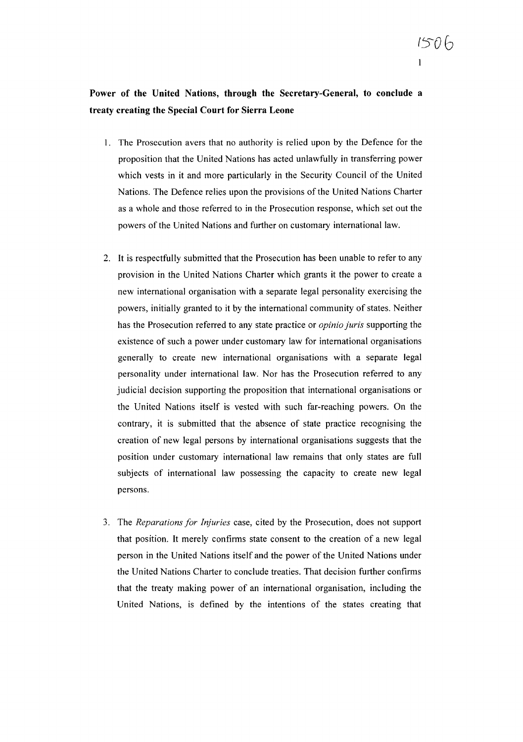# **Power of the United Nations, through the Secretary-General, to conclude a treaty creating the Special Court for Sierra Leone**

- I. The Prosecution avers that no authority is relied upon by the Defence for the proposition that the United Nations has acted unlawfully in transferring power which vests in it and more particularly in the Security Council of the United Nations. The Defence relies upon the provisions of the United Nations Charter as a whole and those referred to in the Prosecution response, which set out the powers ofthe United Nations and further on customary international law.
- 2. It is respectfully submitted that the Prosecution has been unable to refer to any provision in the United Nations Charter which grants it the power to create a new international organisation with a separate legal personality exercising the powers, initially granted to it by the international community of states. Neither has the Prosecution referred to any state practice or *opinio juris* supporting the existence of such a power under customary law for international organisations generally to create new international organisations with a separate legal personality under international law. Nor has the Prosecution referred to any judicial decision supporting the proposition that international organisations or the United Nations itself is vested with such far-reaching powers. On the contrary, it is submitted that the absence of state practice recognising the creation of new legal persons by international organisations suggests that the position under customary international law remains that only states are full subjects of international law possessing the capacity to create new legal persons.
- 3. The *Reparations for Injuries* case, cited by the Prosecution, does not support that position. It merely confirms state consent to the creation of a new legal person in the United Nations itself and the power of the United Nations under the United Nations Charter to conclude treaties. That decision further confirms that the treaty making power of an international organisation, including the United Nations, is defined by the intentions of the states creating that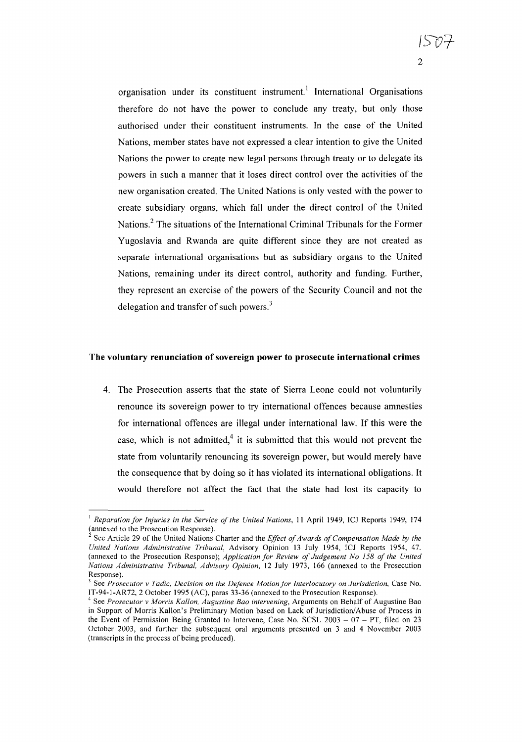organisation under its constituent instrument.<sup>1</sup> International Organisations therefore do not have the power to conclude any treaty, but only those authorised under their constituent instruments. In the case of the United Nations, member states have not expressed a clear intention to give the United Nations the power to create new legal persons through treaty or to delegate its powers in such a manner that it loses direct control over the activities of the new organisation created. The United Nations is only vested with the power to

ISl/:;-

 $\mathfrak{D}$ 

create subsidiary organs, which fall under the direct control of the United Nations.<sup>2</sup> The situations of the International Criminal Tribunals for the Former Yugoslavia and Rwanda are quite different since they are not created as separate international organisations but as subsidiary organs to the United Nations, remaining under its direct control, authority and funding. Further, they represent an exercise of the powers of the Security Council and not the delegation and transfer of such powers. $3$ 

#### The voluntary renunciation of sovereign power to prosecute international crimes

4. The Prosecution asserts that the state of Sierra Leone could not voluntarily renounce its sovereign power to try international offences because amnesties for international offences are illegal under international law. If this were the case, which is not admitted, $4$  it is submitted that this would not prevent the state from voluntarily renouncing its sovereign power, but would merely have the consequence that by doing so it has violated its international obligations. It would therefore not affect the fact that the state had lost its capacity to

<sup>&</sup>lt;sup>1</sup> Reparation for *Injuries* in the Service of the United Nations, 11 April 1949, ICJ Reports 1949, 174 (annexed to the Prosecution Response).

<sup>&</sup>lt;sup>2</sup> See Article 29 of the United Nations Charter and the *Effect of Awards of Compensation Made by the United Nations Administrative Tribunal,* Advisory Opinion 13 July 1954, ICJ Reports 1954, 47. (annexed to the Prosecution Response); *Application for Review of Judgement No 158 of the United Nations Administrative Tribunal, Advisory Opinion,* 12 July 1973, 166 (annexed to the Prosecution Response).

<sup>3</sup> See *Prosecutor* v *Tadic, Decision on the Defence Motionfor Interlocutory on Jurisdiction,* Case No. IT-94-I-AR72, 2 October 1995 (AC), paras 33-36 (annexed to the Prosecution Response).

<sup>4</sup> See *Prosecutor* v *Morris Kallon, Augustine Bao intervening,* Arguments on Behalf of Augustine Bao in Support of Morris Kallen's Preliminary Motion based on Lack of Jurisdiction/Abuse of Process in the Event of Permission Being Granted to Intervene, Case No. SCSL  $2003 - 07 - PT$ , filed on 23 October 2003, and further the subsequent oral arguments presented on 3 and 4 November 2003 (transcripts in the process of being produced).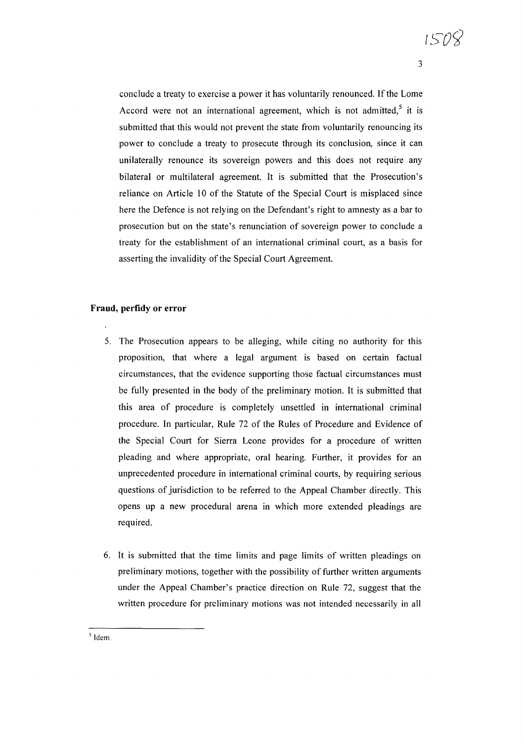conclude a treaty to exercise a power it has voluntarily renounced. If the Lome Accord were not an international agreement, which is not admitted,<sup>5</sup> it is submitted that this would not prevent the state from voluntarily renouncing its power to conclude a treaty to prosecute through its conclusion, since it can unilaterally renounce its sovereign powers and this does not require any bilateral or multilateral agreement. It is submitted that the Prosecution's reliance on Article 10 of the Statute of the Special Court is misplaced since here the Defence is not relying on the Defendant's right to amnesty as a bar to prosecution but on the state's renunciation of sovereign power to conclude a treaty for the establishment of an international criminal court, as a basis for asserting the invalidity of the Special Court Agreement.

## **Fraud, perfidy or error**

- 5. The Prosecution appears to be alleging, while citing no authority for this proposition, that where a legal argument is based on certain factual circumstances, that the evidence supporting those factual circumstances must be fully presented in the body of the preliminary motion. It is submitted that this area of procedure is completely unsettled in international criminal procedure. **In** particular, Rule 72 of the Rules of Procedure and Evidence of the Special Court for Sierra Leone provides for a procedure of written pleading and where appropriate, oral hearing. Further, it provides for an unprecedented procedure in international criminal courts, by requiring serious questions of jurisdiction to be referred to the Appeal Chamber directly. This opens up a new procedural arena in which more extended pleadings are required.
- 6. It is submitted that the time limits and page limits of written pleadings on preliminary motions, together with the possibility of further written arguments under the Appeal Chamber's practice direction on Rule 72, suggest that the written procedure for preliminary motions was not intended necessarily in all

 $<sup>5</sup>$  Idem.</sup>

3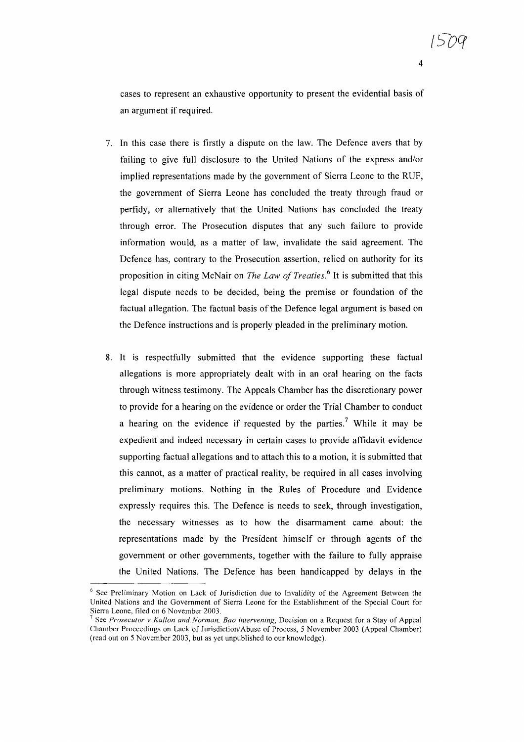cases to represent an exhaustive opportunity to present the evidential basis of an argument if required.

- 7. **In** this case there is firstly a dispute on the law. The Defence avers that by failing to give full disclosure to the United Nations of the express and/or implied representations made by the government of Sierra Leone to the RUF, the government of Sierra Leone has concluded the treaty through fraud or perfidy, or alternatively that the United Nations has concluded the treaty through error. The Prosecution disputes that any such failure to provide information would, as a matter of law, invalidate the said agreement. The Defence has, contrary to the Prosecution assertion, relied on authority for its proposition in citing McNair on *The Law of Treaties.*<sup>6</sup> It is submitted that this legal dispute needs to be decided, being the premise or foundation of the factual allegation. The factual basis of the Defence legal argument is based on the Defence instructions and is properly pleaded in the preliminary motion.
- 8. It is respectfully submitted that the evidence supporting these factual allegations is more appropriately dealt with in an oral hearing on the facts through witness testimony. The Appeals Chamber has the discretionary power to provide for a hearing on the evidence or order the Trial Chamber to conduct a hearing on the evidence if requested by the parties.<sup>7</sup> While it may be expedient and indeed necessary in certain cases to provide affidavit evidence supporting factual allegations and to attach this to a motion, it is submitted that this cannot, as a matter of practical reality, be required in all cases involving preliminary motions. Nothing in the Rules of Procedure and Evidence expressly requires this. The Defence is needs to seek, through investigation, the necessary witnesses as to how the disarmament came about: the representations made by the President himself or through agents of the government or other governments, together with the failure to fully appraise the United Nations. The Defence has been handicapped by delays in the

<sup>&</sup>lt;sup>6</sup> See Preliminary Motion on Lack of Jurisdiction due to Invalidity of the Agreement Between the United Nations and the Government of Sierra Leone for the Establishment of the Special Court for Sierra Leone, filed on 6 November 2003.

<sup>7</sup> See *Prosecutor* v *Kallon and Norman, Baa intervening,* Decision on a Request for a Stay of Appeal Chamber Proceedings on Lack of Jurisdiction/Abuse of Process, 5 November 2003 (Appeal Chamber) (read out on 5 November 2003, but as yet unpublished to our knowledge).